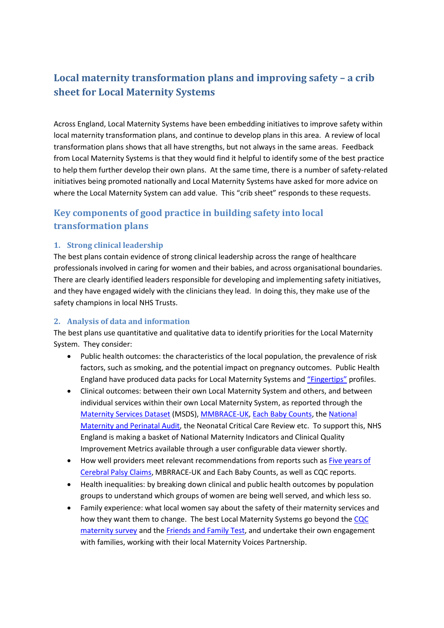# **Local maternity transformation plans and improving safety – a crib sheet for Local Maternity Systems**

Across England, Local Maternity Systems have been embedding initiatives to improve safety within local maternity transformation plans, and continue to develop plans in this area. A review of local transformation plans shows that all have strengths, but not always in the same areas. Feedback from Local Maternity Systems is that they would find it helpful to identify some of the best practice to help them further develop their own plans. At the same time, there is a number of safety-related initiatives being promoted nationally and Local Maternity Systems have asked for more advice on where the Local Maternity System can add value. This "crib sheet" responds to these requests.

# **Key components of good practice in building safety into local transformation plans**

### **1. Strong clinical leadership**

The best plans contain evidence of strong clinical leadership across the range of healthcare professionals involved in caring for women and their babies, and across organisational boundaries. There are clearly identified leaders responsible for developing and implementing safety initiatives, and they have engaged widely with the clinicians they lead. In doing this, they make use of the safety champions in local NHS Trusts.

#### **2. Analysis of data and information**

The best plans use quantitative and qualitative data to identify priorities for the Local Maternity System. They consider:

- Public health outcomes: the characteristics of the local population, the prevalence of risk factors, such as smoking, and the potential impact on pregnancy outcomes. Public Health England have produced data packs for Local Maternity Systems and ["Fingertips"](https://fingertips.phe.org.uk/profile-group/child-health/profile/child-health-pregnancy) profiles.
- Clinical outcomes: between their own Local Maternity System and others, and between individual services within their own Local Maternity System, as reported through the [Maternity Services Dataset](http://content.digital.nhs.uk/maternityandchildren/maternity) (MSDS), [MMBRACE-UK,](https://www.npeu.ox.ac.uk/mbrrace-uk) [Each Baby Counts,](https://www.rcog.org.uk/eachbabycounts) th[e National](http://www.maternityaudit.org.uk/pages/home)  [Maternity and Perinatal Audit,](http://www.maternityaudit.org.uk/pages/home) the Neonatal Critical Care Review etc. To support this, NHS England is making a basket of National Maternity Indicators and Clinical Quality Improvement Metrics available through a user configurable data viewer shortly.
- How well providers meet relevant recommendations from reports such as Five years of [Cerebral Palsy Claims,](https://resolution.nhs.uk/five-years-of-cerebral-palsy-claims/) MBRRACE-UK and Each Baby Counts, as well as CQC reports.
- Health inequalities: by breaking down clinical and public health outcomes by population groups to understand which groups of women are being well served, and which less so.
- Family experience: what local women say about the safety of their maternity services and how they want them to change. The best Local Maternity Systems go beyond the [CQC](http://www.cqc.org.uk/publications/surveys/surveys)  [maternity survey](http://www.cqc.org.uk/publications/surveys/surveys) and the [Friends and Family Test,](https://www.england.nhs.uk/fft/) and undertake their own engagement with families, working with their local Maternity Voices Partnership.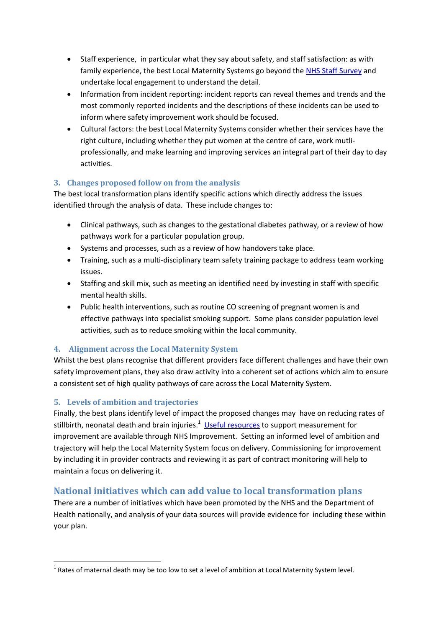- Staff experience, in particular what they say about safety, and staff satisfaction: as with family experience, the best Local Maternity Systems go beyond the [NHS Staff Survey](http://www.nhsstaffsurveys.com/Page/1056/Home/NHS-Staff-Survey-2017/) and undertake local engagement to understand the detail.
- Information from incident reporting: incident reports can reveal themes and trends and the most commonly reported incidents and the descriptions of these incidents can be used to inform where safety improvement work should be focused.
- Cultural factors: the best Local Maternity Systems consider whether their services have the right culture, including whether they put women at the centre of care, work mutliprofessionally, and make learning and improving services an integral part of their day to day activities.

## **3. Changes proposed follow on from the analysis**

The best local transformation plans identify specific actions which directly address the issues identified through the analysis of data. These include changes to:

- Clinical pathways, such as changes to the gestational diabetes pathway, or a review of how pathways work for a particular population group.
- Systems and processes, such as a review of how handovers take place.
- Training, such as a multi-disciplinary team safety training package to address team working issues.
- Staffing and skill mix, such as meeting an identified need by investing in staff with specific mental health skills.
- Public health interventions, such as routine CO screening of pregnant women is and effective pathways into specialist smoking support. Some plans consider population level activities, such as to reduce smoking within the local community.

## **4. Alignment across the Local Maternity System**

Whilst the best plans recognise that different providers face different challenges and have their own safety improvement plans, they also draw activity into a coherent set of actions which aim to ensure a consistent set of high quality pathways of care across the Local Maternity System.

## **5. Levels of ambition and trajectories**

Finally, the best plans identify level of impact the proposed changes may have on reducing rates of stillbirth, neonatal death and brain injuries.<sup>1</sup> [Useful resources](https://improvement.nhs.uk/uploads/documents/Useful_measurement_for_improvement_resources_summary.pdf) to support measurement for improvement are available through NHS Improvement. Setting an informed level of ambition and trajectory will help the Local Maternity System focus on delivery. Commissioning for improvement by including it in provider contracts and reviewing it as part of contract monitoring will help to maintain a focus on delivering it.

## **National initiatives which can add value to local transformation plans**

There are a number of initiatives which have been promoted by the NHS and the Department of Health nationally, and analysis of your data sources will provide evidence for including these within your plan.

**<sup>.</sup>**  $^{1}$  Rates of maternal death may be too low to set a level of ambition at Local Maternity System level.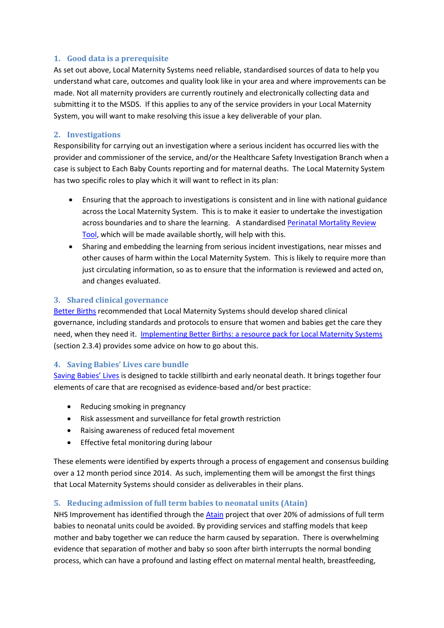## **1. Good data is a prerequisite**

As set out above, Local Maternity Systems need reliable, standardised sources of data to help you understand what care, outcomes and quality look like in your area and where improvements can be made. Not all maternity providers are currently routinely and electronically collecting data and submitting it to the MSDS. If this applies to any of the service providers in your Local Maternity System, you will want to make resolving this issue a key deliverable of your plan.

## **2. Investigations**

Responsibility for carrying out an investigation where a serious incident has occurred lies with the provider and commissioner of the service, and/or the Healthcare Safety Investigation Branch when a case is subject to Each Baby Counts reporting and for maternal deaths. The Local Maternity System has two specific roles to play which it will want to reflect in its plan:

- Ensuring that the approach to investigations is consistent and in line with national guidance across the Local Maternity System. This is to make it easier to undertake the investigation across boundaries and to share the learning. A standardise[d Perinatal Mortality Review](https://www.npeu.ox.ac.uk/mbrrace-uk/pmrt)  [Tool,](https://www.npeu.ox.ac.uk/mbrrace-uk/pmrt) which will be made available shortly, will help with this.
- Sharing and embedding the learning from serious incident investigations, near misses and other causes of harm within the Local Maternity System. This is likely to require more than just circulating information, so as to ensure that the information is reviewed and acted on, and changes evaluated.

## **3. Shared clinical governance**

[Better Births](https://www.england.nhs.uk/publication/better-births-improving-outcomes-of-maternity-services-in-england-a-five-year-forward-view-for-maternity-care/) recommended that Local Maternity Systems should develop shared clinical governance, including standards and protocols to ensure that women and babies get the care they need, when they need it. [Implementing Better Births: a resource pack for Local Maternity Systems](https://www.england.nhs.uk/publication/local-maternity-systems-resource-pack/) (section 2.3.4) provides some advice on how to go about this.

### **4. Saving Babies' Lives care bundle**

[Saving Babies' Lives](https://www.england.nhs.uk/mat-transformation/saving-babies/) is designed to tackle stillbirth and early neonatal death. It brings together four elements of care that are recognised as evidence-based and/or best practice:

- Reducing smoking in pregnancy
- Risk assessment and surveillance for fetal growth restriction
- Raising awareness of reduced fetal movement
- **•** Effective fetal monitoring during labour

These elements were identified by experts through a process of engagement and consensus building over a 12 month period since 2014. As such, implementing them will be amongst the first things that Local Maternity Systems should consider as deliverables in their plans.

### **5. Reducing admission of full term babies to neonatal units (Atain)**

NHS Improvement has identified through the [Atain](https://improvement.nhs.uk/resources/reducing-admission-full-term-babies-neonatal-units/) project that over 20% of admissions of full term babies to neonatal units could be avoided. By providing services and staffing models that keep mother and baby together we can reduce the harm caused by separation. There is overwhelming evidence that separation of mother and baby so soon after birth interrupts the normal bonding process, which can have a profound and lasting effect on maternal mental health, breastfeeding,